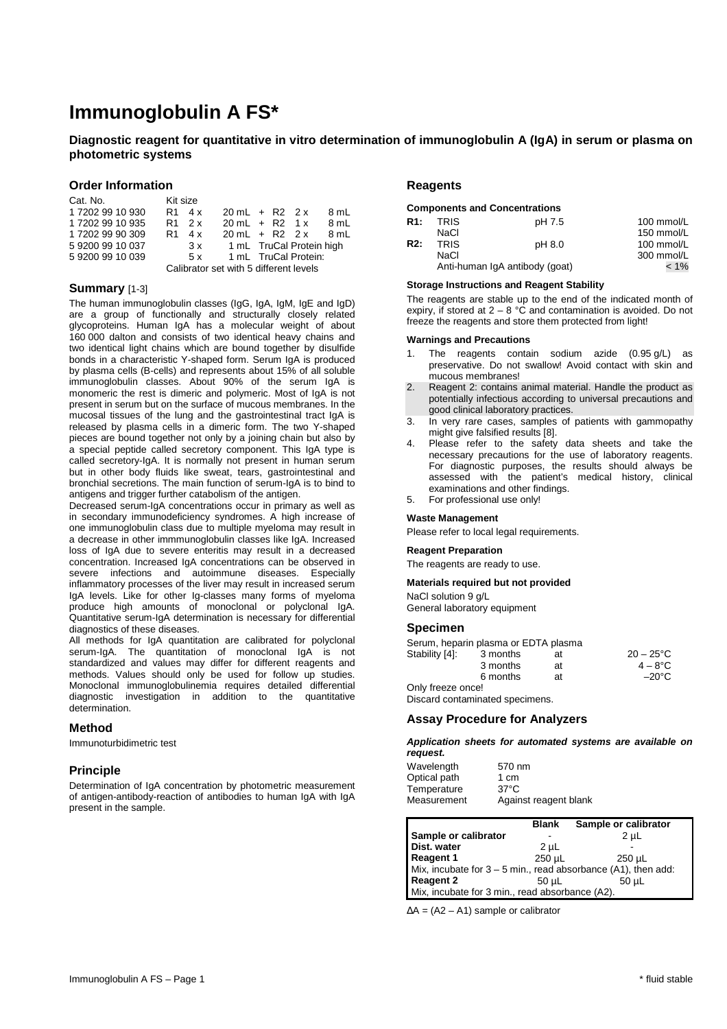# **Immunoglobulin A FS\***

**Diagnostic reagent for quantitative in vitro determination of immunoglobulin A (IgA) in serum or plasma on photometric systems** 

### **Order Information**

| Cat. No.         | Kit size                               |        |                          |  |                          |      |
|------------------|----------------------------------------|--------|--------------------------|--|--------------------------|------|
| 1 7202 99 10 930 |                                        | R1 4 x | $20 \text{ mL} + R2 2x$  |  |                          | 8 ml |
| 1 7202 99 10 935 |                                        | R1 2 x | $20 \text{ mL} + R2 1x$  |  |                          | 8 mL |
| 1 7202 99 90 309 | R1                                     | 4 x    | $20 \text{ mL} + R2$ 2 x |  |                          | 8 ml |
| 592009910037     |                                        | 3x     |                          |  | 1 mL TruCal Protein high |      |
| 592009910039     |                                        | 5x     |                          |  | 1 mL TruCal Protein:     |      |
|                  | Calibrator set with 5 different levels |        |                          |  |                          |      |

### **Summary** [1-3]

The human immunoglobulin classes (IgG, IgA, IgM, IgE and IgD) are a group of functionally and structurally closely related glycoproteins. Human IgA has a molecular weight of about 160 000 dalton and consists of two identical heavy chains and two identical light chains which are bound together by disulfide bonds in a characteristic Y-shaped form. Serum IgA is produced by plasma cells (B-cells) and represents about 15% of all soluble immunoglobulin classes. About 90% of the serum IgA is monomeric the rest is dimeric and polymeric. Most of IgA is not present in serum but on the surface of mucous membranes. In the mucosal tissues of the lung and the gastrointestinal tract IgA is released by plasma cells in a dimeric form. The two Y-shaped pieces are bound together not only by a joining chain but also by a special peptide called secretory component. This IgA type is called secretory-IgA. It is normally not present in human serum but in other body fluids like sweat, tears, gastrointestinal and bronchial secretions. The main function of serum-IgA is to bind to antigens and trigger further catabolism of the antigen.

Decreased serum-IgA concentrations occur in primary as well as in secondary immunodeficiency syndromes. A high increase of one immunoglobulin class due to multiple myeloma may result in a decrease in other immmunoglobulin classes like IgA. Increased loss of IgA due to severe enteritis may result in a decreased concentration. Increased IgA concentrations can be observed in severe infections and autoimmune diseases. Especially inflammatory processes of the liver may result in increased serum IgA levels. Like for other Ig-classes many forms of myeloma produce high amounts of monoclonal or polyclonal IgA. Quantitative serum-IgA determination is necessary for differential diagnostics of these diseases.

All methods for IgA quantitation are calibrated for polyclonal serum-IgA. The quantitation of monoclonal IgA is not standardized and values may differ for different reagents and methods. Values should only be used for follow up studies. Monoclonal immunoglobulinemia requires detailed differential diagnostic investigation in addition to the quantitative determination.

### **Method**

Immunoturbidimetric test

### **Principle**

Determination of IgA concentration by photometric measurement of antigen-antibody-reaction of antibodies to human IgA with IgA present in the sample.

### **Reagents**

### **Components and Concentrations**

| R1: | <b>TRIS</b> | pH 7.5                         | 100 mmol/ $L$ |
|-----|-------------|--------------------------------|---------------|
|     | NaCl        |                                | 150 mmol/L    |
| R2: | <b>TRIS</b> | pH 8.0                         | 100 mmol/ $L$ |
|     | NaCl        |                                | 300 mmol/L    |
|     |             | Anti-human IgA antibody (goat) | $< 1\%$       |

### **Storage Instructions and Reagent Stability**

The reagents are stable up to the end of the indicated month of expiry, if stored at  $2 - 8$  °C and contamination is avoided. Do not freeze the reagents and store them protected from light!

### **Warnings and Precautions**

- 1. The reagents contain sodium azide (0.95 g/L) as preservative. Do not swallow! Avoid contact with skin and mucous membranes!
- 2. Reagent 2: contains animal material. Handle the product as potentially infectious according to universal precautions and good clinical laboratory practices.
- 3. In very rare cases, samples of patients with gammopathy might give falsified results [8].
- 4. Please refer to the safety data sheets and take the necessary precautions for the use of laboratory reagents. For diagnostic purposes, the results should always be assessed with the patient's medical history, clinical examinations and other findings.
- 5. For professional use only!

#### **Waste Management**

Please refer to local legal requirements.

#### **Reagent Preparation**

The reagents are ready to use.

### **Materials required but not provided**

NaCl solution 9 g/L General laboratory equipment

### **Specimen**

|                   | Serum, heparin plasma or EDTA plasma |    |                     |
|-------------------|--------------------------------------|----|---------------------|
| Stability [4]:    | 3 months                             | at | $20 - 25^{\circ}$ C |
|                   | 3 months                             | at | $4 - 8^{\circ}$ C   |
|                   | 6 months                             | at | $-20^{\circ}$ C     |
| Only freeze once! |                                      |    |                     |

Discard contaminated specimens.

### **Assay Procedure for Analyzers**

### **Application sheets for automated systems are available on request.**

| Wavelength   | 570 nm                |
|--------------|-----------------------|
| Optical path | 1 cm                  |
| Temperature  | $37^{\circ}$ C        |
| Measurement  | Against reagent blank |

|                                                                 | <b>Blank</b> | Sample or calibrator |  |  |
|-----------------------------------------------------------------|--------------|----------------------|--|--|
| Sample or calibrator                                            |              | 2 <sub>µ</sub>       |  |  |
| Dist. water                                                     | $2 \mu L$    |                      |  |  |
| <b>Reagent 1</b>                                                | 250 uL       | 250 uL               |  |  |
| Mix, incubate for $3 - 5$ min., read absorbance (A1), then add: |              |                      |  |  |
| <b>Reagent 2</b>                                                | 50 uL        | 50 uL                |  |  |
| Mix, incubate for 3 min., read absorbance (A2).                 |              |                      |  |  |

∆A = (A2 – A1) sample or calibrator